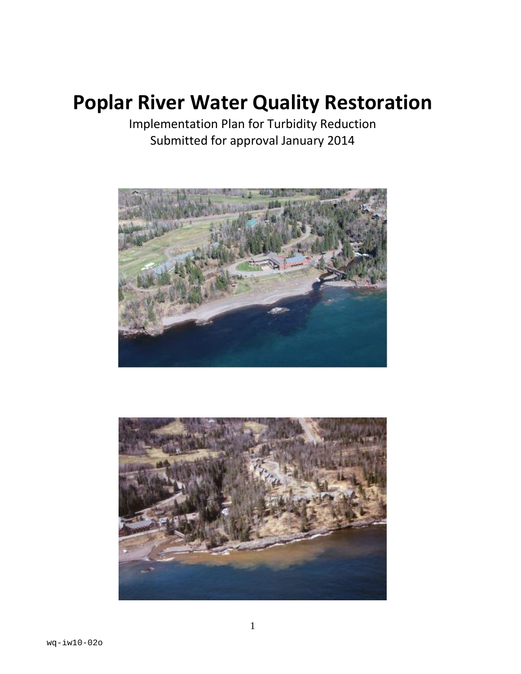# **Poplar River Water Quality Restoration**

Implementation Plan for Turbidity Reduction Submitted for approval January 2014



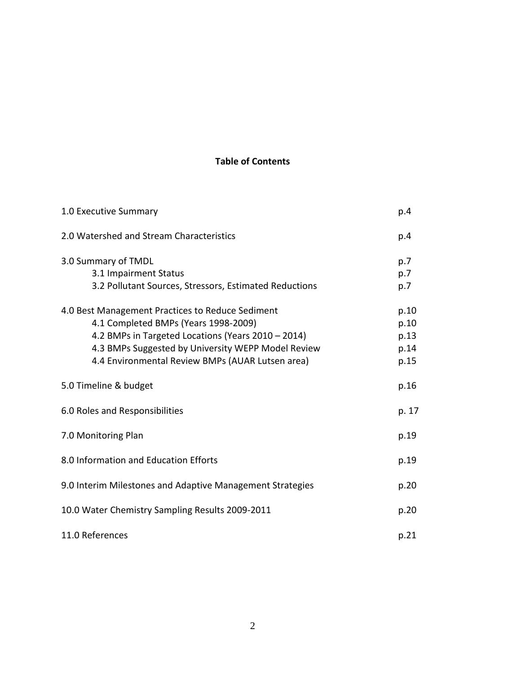# **Table of Contents**

| 1.0 Executive Summary                                                                                                                                                                                                                                    | p.4                                  |
|----------------------------------------------------------------------------------------------------------------------------------------------------------------------------------------------------------------------------------------------------------|--------------------------------------|
| 2.0 Watershed and Stream Characteristics                                                                                                                                                                                                                 | p.4                                  |
| 3.0 Summary of TMDL<br>3.1 Impairment Status<br>3.2 Pollutant Sources, Stressors, Estimated Reductions                                                                                                                                                   | p.7<br>p.7<br>p.7                    |
| 4.0 Best Management Practices to Reduce Sediment<br>4.1 Completed BMPs (Years 1998-2009)<br>4.2 BMPs in Targeted Locations (Years 2010 - 2014)<br>4.3 BMPs Suggested by University WEPP Model Review<br>4.4 Environmental Review BMPs (AUAR Lutsen area) | p.10<br>p.10<br>p.13<br>p.14<br>p.15 |
| 5.0 Timeline & budget                                                                                                                                                                                                                                    | p.16                                 |
| 6.0 Roles and Responsibilities                                                                                                                                                                                                                           | p. 17                                |
| 7.0 Monitoring Plan                                                                                                                                                                                                                                      | p.19                                 |
| 8.0 Information and Education Efforts                                                                                                                                                                                                                    | p.19                                 |
| 9.0 Interim Milestones and Adaptive Management Strategies                                                                                                                                                                                                | p.20                                 |
| 10.0 Water Chemistry Sampling Results 2009-2011                                                                                                                                                                                                          | p.20                                 |
| 11.0 References                                                                                                                                                                                                                                          | p.21                                 |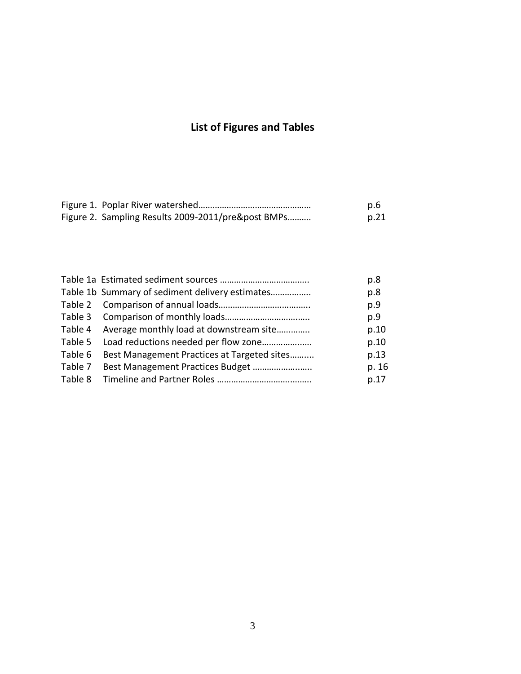# **List of Figures and Tables**

|                                                    | p.6  |
|----------------------------------------------------|------|
| Figure 2. Sampling Results 2009-2011/pre&post BMPs | p.21 |

|                                                     | p.8   |
|-----------------------------------------------------|-------|
| Table 1b Summary of sediment delivery estimates     | p.8   |
|                                                     | p.9   |
|                                                     | p.9   |
| Table 4 Average monthly load at downstream site     | p.10  |
|                                                     | p.10  |
| Table 6 Best Management Practices at Targeted sites | p.13  |
|                                                     | p. 16 |
|                                                     | p.17  |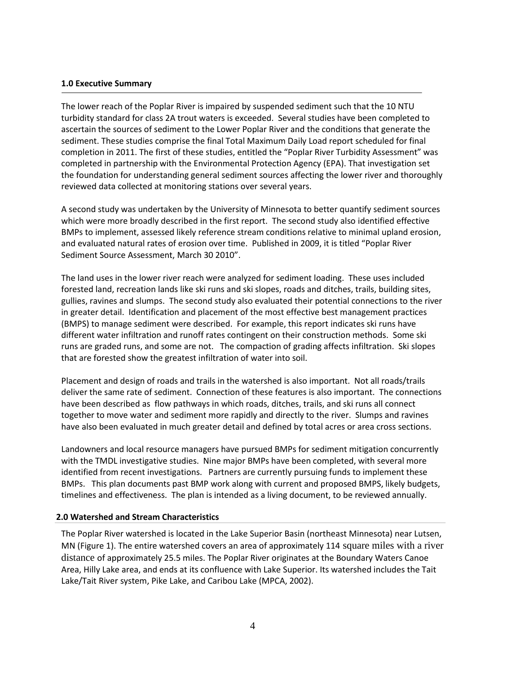#### **1.0 Executive Summary**

The lower reach of the Poplar River is impaired by suspended sediment such that the 10 NTU turbidity standard for class 2A trout waters is exceeded. Several studies have been completed to ascertain the sources of sediment to the Lower Poplar River and the conditions that generate the sediment. These studies comprise the final Total Maximum Daily Load report scheduled for final completion in 2011. The first of these studies, entitled the "Poplar River Turbidity Assessment" was completed in partnership with the Environmental Protection Agency (EPA). That investigation set the foundation for understanding general sediment sources affecting the lower river and thoroughly reviewed data collected at monitoring stations over several years.

A second study was undertaken by the University of Minnesota to better quantify sediment sources which were more broadly described in the first report. The second study also identified effective BMPs to implement, assessed likely reference stream conditions relative to minimal upland erosion, and evaluated natural rates of erosion over time. Published in 2009, it is titled "Poplar River Sediment Source Assessment, March 30 2010".

The land uses in the lower river reach were analyzed for sediment loading. These uses included forested land, recreation lands like ski runs and ski slopes, roads and ditches, trails, building sites, gullies, ravines and slumps. The second study also evaluated their potential connections to the river in greater detail. Identification and placement of the most effective best management practices (BMPS) to manage sediment were described. For example, this report indicates ski runs have different water infiltration and runoff rates contingent on their construction methods. Some ski runs are graded runs, and some are not. The compaction of grading affects infiltration. Ski slopes that are forested show the greatest infiltration of water into soil.

Placement and design of roads and trails in the watershed is also important. Not all roads/trails deliver the same rate of sediment. Connection of these features is also important. The connections have been described as flow pathways in which roads, ditches, trails, and ski runs all connect together to move water and sediment more rapidly and directly to the river. Slumps and ravines have also been evaluated in much greater detail and defined by total acres or area cross sections.

Landowners and local resource managers have pursued BMPs for sediment mitigation concurrently with the TMDL investigative studies. Nine major BMPs have been completed, with several more identified from recent investigations. Partners are currently pursuing funds to implement these BMPs. This plan documents past BMP work along with current and proposed BMPS, likely budgets, timelines and effectiveness. The plan is intended as a living document, to be reviewed annually.

#### **2.0 Watershed and Stream Characteristics**

The Poplar River watershed is located in the Lake Superior Basin (northeast Minnesota) near Lutsen, MN (Figure 1). The entire watershed covers an area of approximately 114 square miles with a river distance of approximately 25.5 miles. The Poplar River originates at the Boundary Waters Canoe Area, Hilly Lake area, and ends at its confluence with Lake Superior. Its watershed includes the Tait Lake/Tait River system, Pike Lake, and Caribou Lake (MPCA, 2002).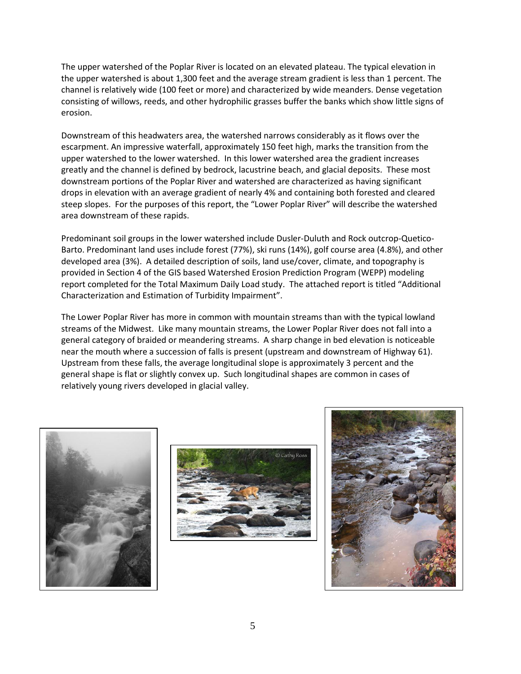The upper watershed of the Poplar River is located on an elevated plateau. The typical elevation in the upper watershed is about 1,300 feet and the average stream gradient is less than 1 percent. The channel is relatively wide (100 feet or more) and characterized by wide meanders. Dense vegetation consisting of willows, reeds, and other hydrophilic grasses buffer the banks which show little signs of erosion.

Downstream of this headwaters area, the watershed narrows considerably as it flows over the escarpment. An impressive waterfall, approximately 150 feet high, marks the transition from the upper watershed to the lower watershed. In this lower watershed area the gradient increases greatly and the channel is defined by bedrock, lacustrine beach, and glacial deposits. These most downstream portions of the Poplar River and watershed are characterized as having significant drops in elevation with an average gradient of nearly 4% and containing both forested and cleared steep slopes. For the purposes of this report, the "Lower Poplar River" will describe the watershed area downstream of these rapids.

Predominant soil groups in the lower watershed include Dusler-Duluth and Rock outcrop-Quetico-Barto. Predominant land uses include forest (77%), ski runs (14%), golf course area (4.8%), and other developed area (3%). A detailed description of soils, land use/cover, climate, and topography is provided in Section 4 of the GIS based Watershed Erosion Prediction Program (WEPP) modeling report completed for the Total Maximum Daily Load study. The attached report is titled "Additional Characterization and Estimation of Turbidity Impairment".

The Lower Poplar River has more in common with mountain streams than with the typical lowland streams of the Midwest. Like many mountain streams, the Lower Poplar River does not fall into a general category of braided or meandering streams. A sharp change in bed elevation is noticeable near the mouth where a succession of falls is present (upstream and downstream of Highway 61). Upstream from these falls, the average longitudinal slope is approximately 3 percent and the general shape is flat or slightly convex up. Such longitudinal shapes are common in cases of relatively young rivers developed in glacial valley.





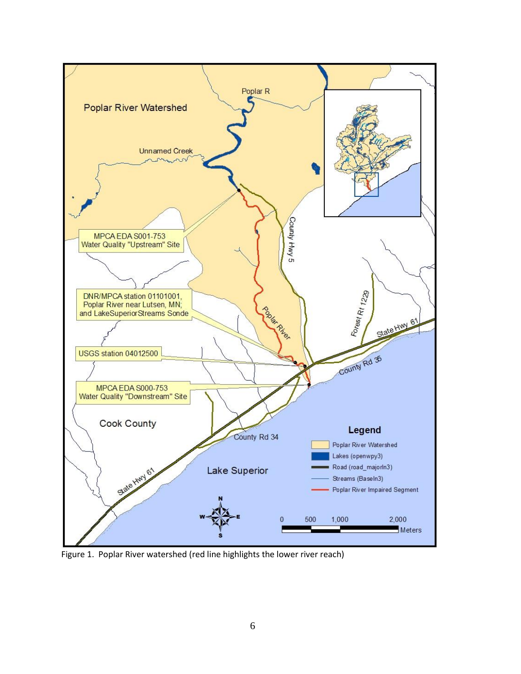

Figure 1. Poplar River watershed (red line highlights the lower river reach)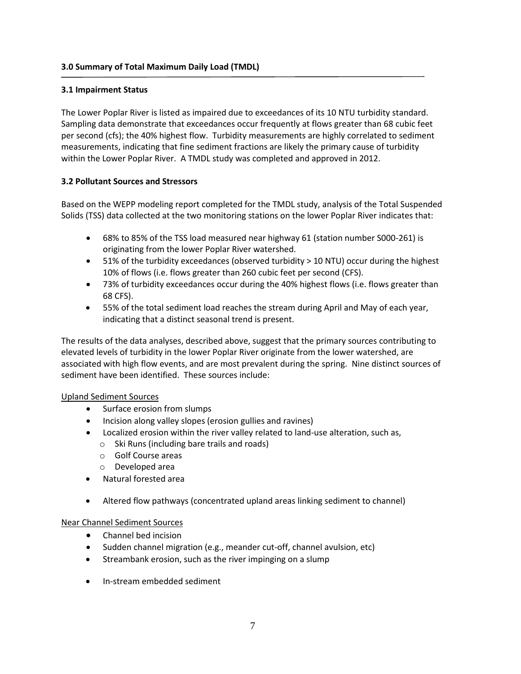# **3.1 Impairment Status**

The Lower Poplar River is listed as impaired due to exceedances of its 10 NTU turbidity standard. Sampling data demonstrate that exceedances occur frequently at flows greater than 68 cubic feet per second (cfs); the 40% highest flow. Turbidity measurements are highly correlated to sediment measurements, indicating that fine sediment fractions are likely the primary cause of turbidity within the Lower Poplar River. A TMDL study was completed and approved in 2012.

# **3.2 Pollutant Sources and Stressors**

Based on the WEPP modeling report completed for the TMDL study, analysis of the Total Suspended Solids (TSS) data collected at the two monitoring stations on the lower Poplar River indicates that:

- 68% to 85% of the TSS load measured near highway 61 (station number S000-261) is originating from the lower Poplar River watershed.
- 51% of the turbidity exceedances (observed turbidity > 10 NTU) occur during the highest 10% of flows (i.e. flows greater than 260 cubic feet per second (CFS).
- 73% of turbidity exceedances occur during the 40% highest flows (i.e. flows greater than 68 CFS).
- 55% of the total sediment load reaches the stream during April and May of each year, indicating that a distinct seasonal trend is present.

The results of the data analyses, described above, suggest that the primary sources contributing to elevated levels of turbidity in the lower Poplar River originate from the lower watershed, are associated with high flow events, and are most prevalent during the spring. Nine distinct sources of sediment have been identified. These sources include:

#### Upland Sediment Sources

- Surface erosion from slumps
- Incision along valley slopes (erosion gullies and ravines)
- Localized erosion within the river valley related to land-use alteration, such as,
	- o Ski Runs (including bare trails and roads)
	- o Golf Course areas
	- o Developed area
- Natural forested area
- Altered flow pathways (concentrated upland areas linking sediment to channel)

# Near Channel Sediment Sources

- Channel bed incision
- Sudden channel migration (e.g., meander cut-off, channel avulsion, etc)
- Streambank erosion, such as the river impinging on a slump
- In-stream embedded sediment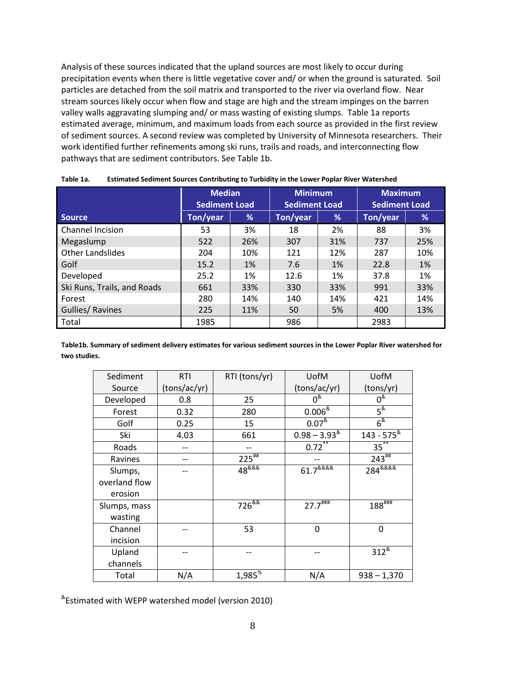Analysis of these sources indicated that the upland sources are most likely to occur during precipitation events when there is little vegetative cover and/ or when the ground is saturated. Soil particles are detached from the soil matrix and transported to the river via overland flow. Near stream sources likely occur when flow and stage are high and the stream impinges on the barren valley walls aggravating slumping and/ or mass wasting of existing slumps. Table 1a reports estimated average, minimum, and maximum loads from each source as provided in the first review of sediment sources. A second review was completed by University of Minnesota researchers. Their work identified further refinements among ski runs, trails and roads, and interconnecting flow pathways that are sediment contributors. See Table 1b.

|                             | <b>Median</b><br><b>Sediment Load</b> |     | <b>Minimum</b><br><b>Sediment Load</b> |     | <b>Maximum</b><br><b>Sediment Load</b> |     |
|-----------------------------|---------------------------------------|-----|----------------------------------------|-----|----------------------------------------|-----|
| <b>Source</b>               | Ton/year                              | %   | Ton/year                               | %   | Ton/year                               | %   |
| Channel Incision            | 53                                    | 3%  | 18                                     | 2%  | 88                                     | 3%  |
| Megaslump                   | 522                                   | 26% | 307                                    | 31% | 737                                    | 25% |
| <b>Other Landslides</b>     | 204                                   | 10% | 121                                    | 12% | 287                                    | 10% |
| Golf                        | 15.2                                  | 1%  | 7.6                                    | 1%  | 22.8                                   | 1%  |
| Developed                   | 25.2                                  | 1%  | 12.6                                   | 1%  | 37.8                                   | 1%  |
| Ski Runs, Trails, and Roads | 661                                   | 33% | 330                                    | 33% | 991                                    | 33% |
| Forest                      | 280                                   | 14% | 140                                    | 14% | 421                                    | 14% |
| <b>Gullies/ Ravines</b>     | 225                                   | 11% | 50                                     | 5%  | 400                                    | 13% |
| Total                       | 1985                                  |     | 986                                    |     | 2983                                   |     |

**Table 1a. Estimated Sediment Sources Contributing to Turbidity in the Lower Poplar River Watershed** 

**Table1b. Summary of sediment delivery estimates for various sediment sources in the Lower Poplar River watershed for two studies.** 

| Sediment      | <b>RTI</b>   | RTI (tons/yr)         | UofM                           | UofM                                |
|---------------|--------------|-----------------------|--------------------------------|-------------------------------------|
| Source        | (tons/ac/yr) |                       | (tons/ac/yr)                   | (tons/yr)                           |
| Developed     | 0.8          | 25                    | $0^{\&}$                       | $0^8$                               |
| Forest        | 0.32         | 280                   | $0.006^{\frac{8}{15}}$         | $5^{\&}$                            |
| Golf          | 0.25         | 15                    | $0.07^{8}$                     | $6^{\&}$                            |
| Ski           | 4.03         | 661                   | $0.98 - 3.93$ <sup>&amp;</sup> | $143 - 575$ <sup>&amp;</sup>        |
| Roads         |              |                       | $0.72***$                      | $35^{**}$                           |
| Ravines       |              | $225$ <sup>##</sup>   |                                | $243^{***}$                         |
| Slumps,       |              | $48^{888}$            | $61.7^{8888}$                  | 284 <sup>&amp;&amp;&amp;&amp;</sup> |
| overland flow |              |                       |                                |                                     |
| erosion       |              |                       |                                |                                     |
| Slumps, mass  |              | $726^{88}$            | $27.7$ <sup>####</sup>         | $188^{$                             |
| wasting       |              |                       |                                |                                     |
| Channel       |              | 53                    | $\Omega$                       | 0                                   |
| incision      |              |                       |                                |                                     |
| Upland        |              |                       |                                | $312^{8}$                           |
| channels      |              |                       |                                |                                     |
| Total         | N/A          | $1,985^{\frac{1}{6}}$ | N/A                            | $938 - 1,370$                       |

& Estimated with WEPP watershed model (version 2010)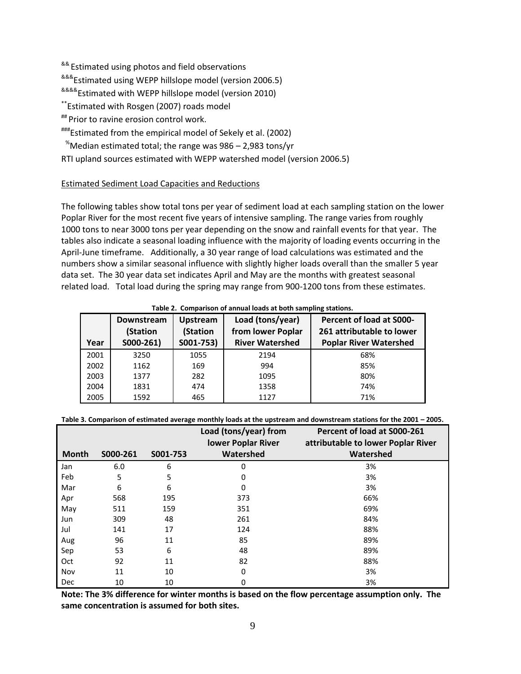<sup>&&</sup> Estimated using photos and field observations

&&&Estimated using WEPP hillslope model (version 2006.5)

<sup>&&&&</sup>Estimated with WEPP hillslope model (version 2010)

\*\*Estimated with Rosgen (2007) roads model

## Prior to ravine erosion control work.

###Estimated from the empirical model of Sekely et al. (2002)

 $\degree$ Median estimated total; the range was 986 – 2,983 tons/yr

RTI upland sources estimated with WEPP watershed model (version 2006.5)

# Estimated Sediment Load Capacities and Reductions

The following tables show total tons per year of sediment load at each sampling station on the lower Poplar River for the most recent five years of intensive sampling. The range varies from roughly 1000 tons to near 3000 tons per year depending on the snow and rainfall events for that year. The tables also indicate a seasonal loading influence with the majority of loading events occurring in the April-June timeframe. Additionally, a 30 year range of load calculations was estimated and the numbers show a similar seasonal influence with slightly higher loads overall than the smaller 5 year data set. The 30 year data set indicates April and May are the months with greatest seasonal related load. Total load during the spring may range from 900-1200 tons from these estimates.

| Year | Downstream<br>(Station<br>$S000-261$ | <b>Upstream</b><br>(Station<br>S001-753) | Load (tons/year)<br>from lower Poplar<br><b>River Watershed</b> | <b>Percent of load at S000-</b><br>261 attributable to lower<br><b>Poplar River Watershed</b> |
|------|--------------------------------------|------------------------------------------|-----------------------------------------------------------------|-----------------------------------------------------------------------------------------------|
| 2001 | 3250                                 | 1055                                     | 2194                                                            | 68%                                                                                           |
| 2002 | 1162                                 | 169                                      | 994                                                             | 85%                                                                                           |
| 2003 | 1377                                 | 282                                      | 1095                                                            | 80%                                                                                           |
| 2004 | 1831                                 | 474                                      | 1358                                                            | 74%                                                                                           |
| 2005 | 1592                                 | 465                                      | 1127                                                            | 71%                                                                                           |

# **Table 2. Comparison of annual loads at both sampling stations.**

**Table 3. Comparison of estimated average monthly loads at the upstream and downstream stations for the 2001 – 2005.**

|              |          |          | Load (tons/year) from<br>lower Poplar River | Percent of load at S000-261<br>attributable to lower Poplar River |
|--------------|----------|----------|---------------------------------------------|-------------------------------------------------------------------|
| <b>Month</b> | S000-261 | S001-753 | Watershed                                   | Watershed                                                         |
| Jan          | 6.0      | 6        | 0                                           | 3%                                                                |
| Feb          | 5        | 5        | 0                                           | 3%                                                                |
| Mar          | 6        | 6        | 0                                           | 3%                                                                |
| Apr          | 568      | 195      | 373                                         | 66%                                                               |
| May          | 511      | 159      | 351                                         | 69%                                                               |
| Jun          | 309      | 48       | 261                                         | 84%                                                               |
| Jul          | 141      | 17       | 124                                         | 88%                                                               |
| Aug          | 96       | 11       | 85                                          | 89%                                                               |
| Sep          | 53       | 6        | 48                                          | 89%                                                               |
| Oct          | 92       | 11       | 82                                          | 88%                                                               |
| Nov          | 11       | 10       | 0                                           | 3%                                                                |
| Dec          | 10       | 10       | 0                                           | 3%                                                                |

**Note: The 3% difference for winter months is based on the flow percentage assumption only. The same concentration is assumed for both sites.**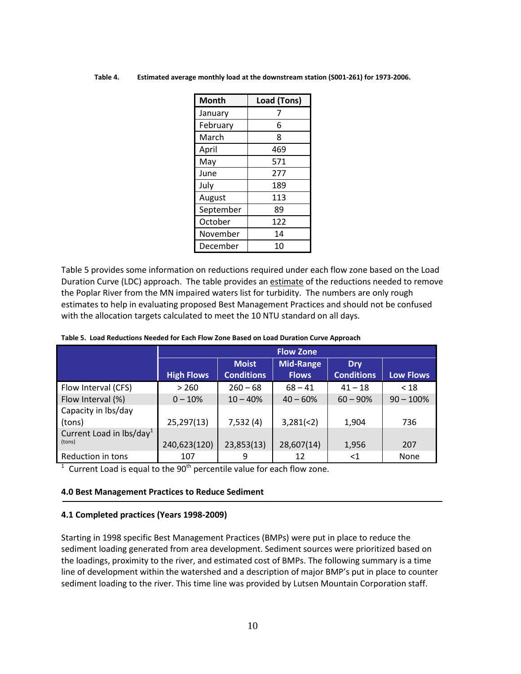| <b>Month</b> | Load (Tons) |
|--------------|-------------|
| January      | 7           |
| February     | 6           |
| March        | 8           |
| April        | 469         |
| May          | 571         |
| June         | 277         |
| July         | 189         |
| August       | 113         |
| September    | 89          |
| October      | 122         |
| November     | 14          |
| December     | 10          |

**Table 4. Estimated average monthly load at the downstream station (S001-261) for 1973-2006.**

Table 5 provides some information on reductions required under each flow zone based on the Load Duration Curve (LDC) approach. The table provides an estimate of the reductions needed to remove the Poplar River from the MN impaired waters list for turbidity. The numbers are only rough estimates to help in evaluating proposed Best Management Practices and should not be confused with the allocation targets calculated to meet the 10 NTU standard on all days.

| Table 5. Load Reductions Needed for Each Flow Zone Based on Load Duration Curve Approach |  |
|------------------------------------------------------------------------------------------|--|
|------------------------------------------------------------------------------------------|--|

|                                    | <b>Flow Zone</b>  |                   |                  |                   |                  |
|------------------------------------|-------------------|-------------------|------------------|-------------------|------------------|
|                                    |                   | <b>Moist</b>      | <b>Mid-Range</b> | <b>Dry</b>        |                  |
|                                    | <b>High Flows</b> | <b>Conditions</b> | <b>Flows</b>     | <b>Conditions</b> | <b>Low Flows</b> |
| Flow Interval (CFS)                | > 260             | $260 - 68$        | $68 - 41$        | $41 - 18$         | < 18             |
| Flow Interval (%)                  | $0 - 10%$         | $10 - 40%$        | $40 - 60%$       | $60 - 90%$        | $90 - 100\%$     |
| Capacity in lbs/day                |                   |                   |                  |                   |                  |
| (tons)                             | 25,297(13)        | 7,532(4)          | 3,281(2)         | 1,904             | 736              |
| Current Load in $\text{lbs/day}^1$ |                   |                   |                  |                   |                  |
| (tons)                             | 240,623(120)      | 23,853(13)        | 28,607(14)       | 1,956             | 207              |
| Reduction in tons                  | 107               | 9                 | 12               | $<$ 1             | <b>None</b>      |

 $1$  Current Load is equal to the 90<sup>th</sup> percentile value for each flow zone.

#### **4.0 Best Management Practices to Reduce Sediment**

#### **4.1 Completed practices (Years 1998-2009)**

Starting in 1998 specific Best Management Practices (BMPs) were put in place to reduce the sediment loading generated from area development. Sediment sources were prioritized based on the loadings, proximity to the river, and estimated cost of BMPs. The following summary is a time line of development within the watershed and a description of major BMP's put in place to counter sediment loading to the river. This time line was provided by Lutsen Mountain Corporation staff.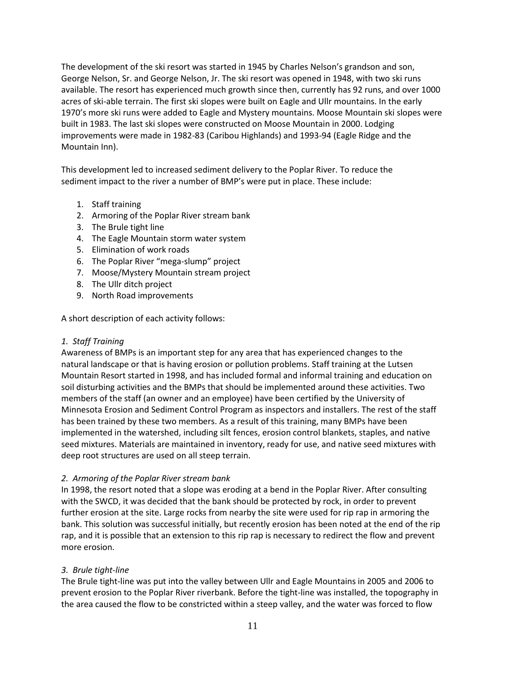The development of the ski resort was started in 1945 by Charles Nelson's grandson and son, George Nelson, Sr. and George Nelson, Jr. The ski resort was opened in 1948, with two ski runs available. The resort has experienced much growth since then, currently has 92 runs, and over 1000 acres of ski-able terrain. The first ski slopes were built on Eagle and Ullr mountains. In the early 1970's more ski runs were added to Eagle and Mystery mountains. Moose Mountain ski slopes were built in 1983. The last ski slopes were constructed on Moose Mountain in 2000. Lodging improvements were made in 1982-83 (Caribou Highlands) and 1993-94 (Eagle Ridge and the Mountain Inn).

This development led to increased sediment delivery to the Poplar River. To reduce the sediment impact to the river a number of BMP's were put in place. These include:

- 1. Staff training
- 2. Armoring of the Poplar River stream bank
- 3. The Brule tight line
- 4. The Eagle Mountain storm water system
- 5. Elimination of work roads
- 6. The Poplar River "mega-slump" project
- 7. Moose/Mystery Mountain stream project
- 8. The Ullr ditch project
- 9. North Road improvements

A short description of each activity follows:

# *1. Staff Training*

Awareness of BMPs is an important step for any area that has experienced changes to the natural landscape or that is having erosion or pollution problems. Staff training at the Lutsen Mountain Resort started in 1998, and has included formal and informal training and education on soil disturbing activities and the BMPs that should be implemented around these activities. Two members of the staff (an owner and an employee) have been certified by the University of Minnesota Erosion and Sediment Control Program as inspectors and installers. The rest of the staff has been trained by these two members. As a result of this training, many BMPs have been implemented in the watershed, including silt fences, erosion control blankets, staples, and native seed mixtures. Materials are maintained in inventory, ready for use, and native seed mixtures with deep root structures are used on all steep terrain.

# *2. Armoring of the Poplar River stream bank*

In 1998, the resort noted that a slope was eroding at a bend in the Poplar River. After consulting with the SWCD, it was decided that the bank should be protected by rock, in order to prevent further erosion at the site. Large rocks from nearby the site were used for rip rap in armoring the bank. This solution was successful initially, but recently erosion has been noted at the end of the rip rap, and it is possible that an extension to this rip rap is necessary to redirect the flow and prevent more erosion.

# *3. Brule tight-line*

The Brule tight-line was put into the valley between Ullr and Eagle Mountains in 2005 and 2006 to prevent erosion to the Poplar River riverbank. Before the tight-line was installed, the topography in the area caused the flow to be constricted within a steep valley, and the water was forced to flow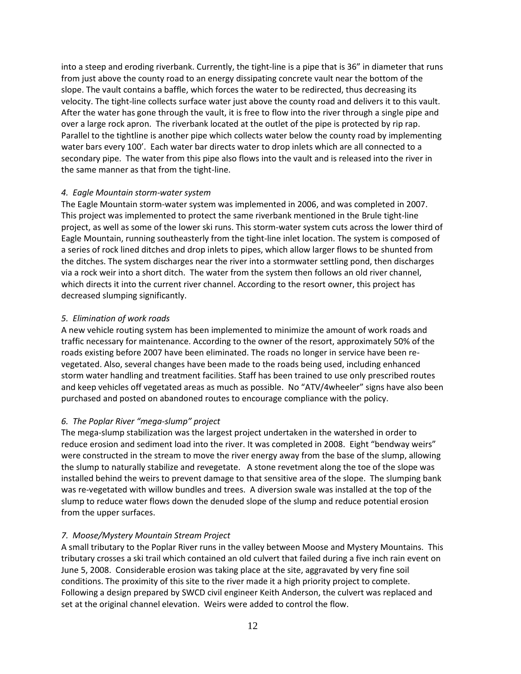into a steep and eroding riverbank. Currently, the tight-line is a pipe that is 36" in diameter that runs from just above the county road to an energy dissipating concrete vault near the bottom of the slope. The vault contains a baffle, which forces the water to be redirected, thus decreasing its velocity. The tight-line collects surface water just above the county road and delivers it to this vault. After the water has gone through the vault, it is free to flow into the river through a single pipe and over a large rock apron. The riverbank located at the outlet of the pipe is protected by rip rap. Parallel to the tightline is another pipe which collects water below the county road by implementing water bars every 100'. Each water bar directs water to drop inlets which are all connected to a secondary pipe. The water from this pipe also flows into the vault and is released into the river in the same manner as that from the tight-line.

# *4. Eagle Mountain storm-water system*

The Eagle Mountain storm-water system was implemented in 2006, and was completed in 2007. This project was implemented to protect the same riverbank mentioned in the Brule tight-line project, as well as some of the lower ski runs. This storm-water system cuts across the lower third of Eagle Mountain, running southeasterly from the tight-line inlet location. The system is composed of a series of rock lined ditches and drop inlets to pipes, which allow larger flows to be shunted from the ditches. The system discharges near the river into a stormwater settling pond, then discharges via a rock weir into a short ditch. The water from the system then follows an old river channel, which directs it into the current river channel. According to the resort owner, this project has decreased slumping significantly.

# *5. Elimination of work roads*

A new vehicle routing system has been implemented to minimize the amount of work roads and traffic necessary for maintenance. According to the owner of the resort, approximately 50% of the roads existing before 2007 have been eliminated. The roads no longer in service have been revegetated. Also, several changes have been made to the roads being used, including enhanced storm water handling and treatment facilities. Staff has been trained to use only prescribed routes and keep vehicles off vegetated areas as much as possible. No "ATV/4wheeler" signs have also been purchased and posted on abandoned routes to encourage compliance with the policy.

# *6. The Poplar River "mega-slump" project*

The mega-slump stabilization was the largest project undertaken in the watershed in order to reduce erosion and sediment load into the river. It was completed in 2008. Eight "bendway weirs" were constructed in the stream to move the river energy away from the base of the slump, allowing the slump to naturally stabilize and revegetate. A stone revetment along the toe of the slope was installed behind the weirs to prevent damage to that sensitive area of the slope. The slumping bank was re-vegetated with willow bundles and trees. A diversion swale was installed at the top of the slump to reduce water flows down the denuded slope of the slump and reduce potential erosion from the upper surfaces.

# *7. Moose/Mystery Mountain Stream Project*

A small tributary to the Poplar River runs in the valley between Moose and Mystery Mountains. This tributary crosses a ski trail which contained an old culvert that failed during a five inch rain event on June 5, 2008. Considerable erosion was taking place at the site, aggravated by very fine soil conditions. The proximity of this site to the river made it a high priority project to complete. Following a design prepared by SWCD civil engineer Keith Anderson, the culvert was replaced and set at the original channel elevation. Weirs were added to control the flow.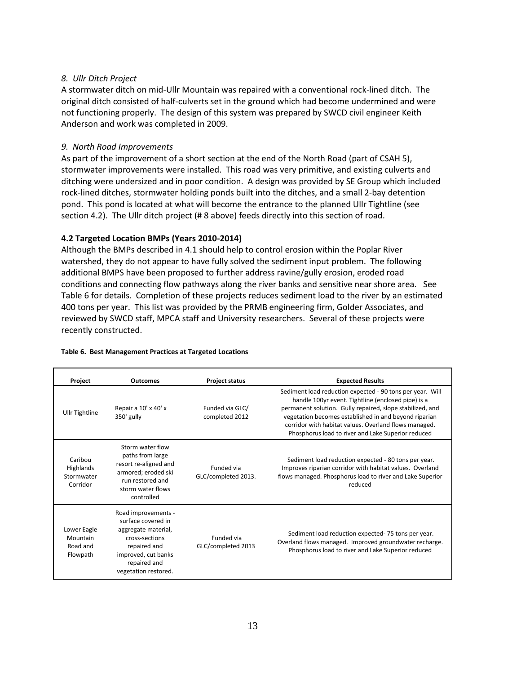# *8. Ullr Ditch Project*

A stormwater ditch on mid-Ullr Mountain was repaired with a conventional rock-lined ditch. The original ditch consisted of half-culverts set in the ground which had become undermined and were not functioning properly. The design of this system was prepared by SWCD civil engineer Keith Anderson and work was completed in 2009.

# *9. North Road Improvements*

As part of the improvement of a short section at the end of the North Road (part of CSAH 5), stormwater improvements were installed. This road was very primitive, and existing culverts and ditching were undersized and in poor condition. A design was provided by SE Group which included rock-lined ditches, stormwater holding ponds built into the ditches, and a small 2-bay detention pond. This pond is located at what will become the entrance to the planned Ullr Tightline (see section 4.2). The Ullr ditch project (# 8 above) feeds directly into this section of road.

# **4.2 Targeted Location BMPs (Years 2010-2014)**

Although the BMPs described in 4.1 should help to control erosion within the Poplar River watershed, they do not appear to have fully solved the sediment input problem. The following additional BMPS have been proposed to further address ravine/gully erosion, eroded road conditions and connecting flow pathways along the river banks and sensitive near shore area. See Table 6 for details. Completion of these projects reduces sediment load to the river by an estimated 400 tons per year. This list was provided by the PRMB engineering firm, Golder Associates, and reviewed by SWCD staff, MPCA staff and University researchers. Several of these projects were recently constructed.

| <b>Project</b>                                  | <b>Outcomes</b>                                                                                                                                                   | <b>Project status</b>             | <b>Expected Results</b>                                                                                                                                                                                                                                                                                                                              |
|-------------------------------------------------|-------------------------------------------------------------------------------------------------------------------------------------------------------------------|-----------------------------------|------------------------------------------------------------------------------------------------------------------------------------------------------------------------------------------------------------------------------------------------------------------------------------------------------------------------------------------------------|
| <b>Ullr Tightline</b>                           | Repair a 10' x 40' x<br>350' gully                                                                                                                                | Funded via GLC/<br>completed 2012 | Sediment load reduction expected - 90 tons per year. Will<br>handle 100yr event. Tightline (enclosed pipe) is a<br>permanent solution. Gully repaired, slope stabilized, and<br>vegetation becomes established in and beyond riparian<br>corridor with habitat values. Overland flows managed.<br>Phosphorus load to river and Lake Superior reduced |
| Caribou<br>Highlands<br>Stormwater<br>Corridor  | Storm water flow<br>paths from large<br>resort re-aligned and<br>armored; eroded ski<br>run restored and<br>storm water flows<br>controlled                       | Funded via<br>GLC/completed 2013. | Sediment load reduction expected - 80 tons per year.<br>Improves riparian corridor with habitat values. Overland<br>flows managed. Phosphorus load to river and Lake Superior<br>reduced                                                                                                                                                             |
| Lower Eagle<br>Mountain<br>Road and<br>Flowpath | Road improvements -<br>surface covered in<br>aggregate material,<br>cross-sections<br>repaired and<br>improved, cut banks<br>repaired and<br>vegetation restored. | Funded via<br>GLC/completed 2013  | Sediment load reduction expected-75 tons per year.<br>Overland flows managed. Improved groundwater recharge.<br>Phosphorus load to river and Lake Superior reduced                                                                                                                                                                                   |

#### **Table 6. Best Management Practices at Targeted Locations**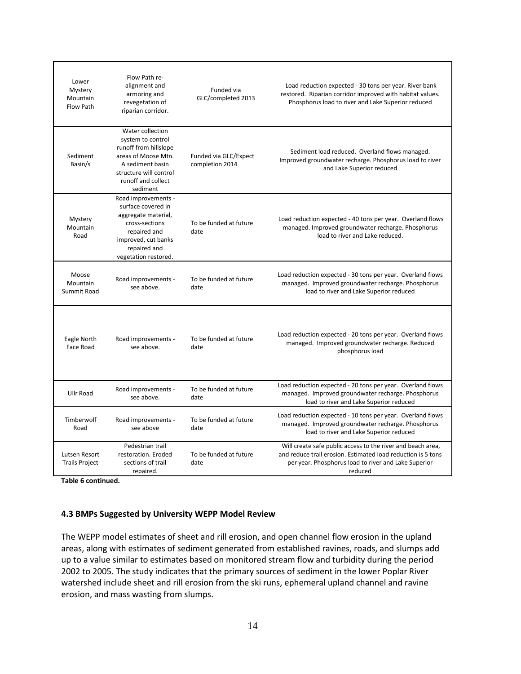| Lower<br>Mystery<br>Mountain<br>Flow Path | Flow Path re-<br>alignment and<br>armoring and<br>revegetation of<br>riparian corridor.                                                                               | Funded via<br>GLC/completed 2013         | Load reduction expected - 30 tons per year. River bank<br>restored. Riparian corridor improved with habitat values.<br>Phosphorus load to river and Lake Superior reduced                      |
|-------------------------------------------|-----------------------------------------------------------------------------------------------------------------------------------------------------------------------|------------------------------------------|------------------------------------------------------------------------------------------------------------------------------------------------------------------------------------------------|
| Sediment<br>Basin/s                       | Water collection<br>system to control<br>runoff from hillslope<br>areas of Moose Mtn.<br>A sediment basin<br>structure will control<br>runoff and collect<br>sediment | Funded via GLC/Expect<br>completion 2014 | Sediment load reduced. Overland flows managed.<br>Improved groundwater recharge. Phosphorus load to river<br>and Lake Superior reduced                                                         |
| Mystery<br>Mountain<br>Road               | Road improvements -<br>surface covered in<br>aggregate material,<br>cross-sections<br>repaired and<br>improved, cut banks<br>repaired and<br>vegetation restored.     | To be funded at future<br>date           | Load reduction expected - 40 tons per year. Overland flows<br>managed. Improved groundwater recharge. Phosphorus<br>load to river and Lake reduced.                                            |
| Moose<br>Mountain<br>Summit Road          | Road improvements -<br>see above.                                                                                                                                     | To be funded at future<br>date           | Load reduction expected - 30 tons per year. Overland flows<br>managed. Improved groundwater recharge. Phosphorus<br>load to river and Lake Superior reduced                                    |
| Eagle North<br>Face Road                  | Road improvements -<br>see above.                                                                                                                                     | To be funded at future<br>date           | Load reduction expected - 20 tons per year. Overland flows<br>managed. Improved groundwater recharge. Reduced<br>phosphorus load                                                               |
| Ullr Road                                 | Road improvements -<br>see above.                                                                                                                                     | To be funded at future<br>date           | Load reduction expected - 20 tons per year. Overland flows<br>managed. Improved groundwater recharge. Phosphorus<br>load to river and Lake Superior reduced                                    |
| Timberwolf<br>Road                        | Road improvements -<br>see above                                                                                                                                      | To be funded at future<br>date           | Load reduction expected - 10 tons per year. Overland flows<br>managed. Improved groundwater recharge. Phosphorus<br>load to river and Lake Superior reduced                                    |
| Lutsen Resort<br><b>Trails Project</b>    | Pedestrian trail<br>restoration. Eroded<br>sections of trail<br>repaired.                                                                                             | To be funded at future<br>date           | Will create safe public access to the river and beach area,<br>and reduce trail erosion. Estimated load reduction is 5 tons<br>per year. Phosphorus load to river and Lake Superior<br>reduced |

**Table 6 continued.** 

# **4.3 BMPs Suggested by University WEPP Model Review**

The WEPP model estimates of sheet and rill erosion, and open channel flow erosion in the upland areas, along with estimates of sediment generated from established ravines, roads, and slumps add up to a value similar to estimates based on monitored stream flow and turbidity during the period 2002 to 2005. The study indicates that the primary sources of sediment in the lower Poplar River watershed include sheet and rill erosion from the ski runs, ephemeral upland channel and ravine erosion, and mass wasting from slumps.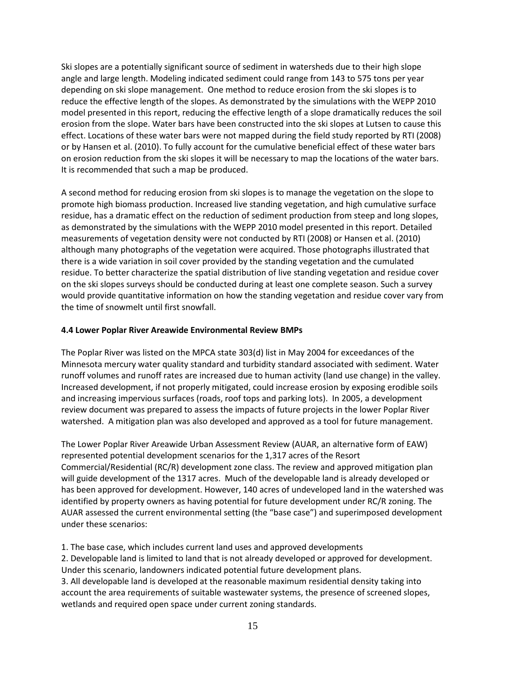Ski slopes are a potentially significant source of sediment in watersheds due to their high slope angle and large length. Modeling indicated sediment could range from 143 to 575 tons per year depending on ski slope management. One method to reduce erosion from the ski slopes is to reduce the effective length of the slopes. As demonstrated by the simulations with the WEPP 2010 model presented in this report, reducing the effective length of a slope dramatically reduces the soil erosion from the slope. Water bars have been constructed into the ski slopes at Lutsen to cause this effect. Locations of these water bars were not mapped during the field study reported by RTI (2008) or by Hansen et al. (2010). To fully account for the cumulative beneficial effect of these water bars on erosion reduction from the ski slopes it will be necessary to map the locations of the water bars. It is recommended that such a map be produced.

A second method for reducing erosion from ski slopes is to manage the vegetation on the slope to promote high biomass production. Increased live standing vegetation, and high cumulative surface residue, has a dramatic effect on the reduction of sediment production from steep and long slopes, as demonstrated by the simulations with the WEPP 2010 model presented in this report. Detailed measurements of vegetation density were not conducted by RTI (2008) or Hansen et al. (2010) although many photographs of the vegetation were acquired. Those photographs illustrated that there is a wide variation in soil cover provided by the standing vegetation and the cumulated residue. To better characterize the spatial distribution of live standing vegetation and residue cover on the ski slopes surveys should be conducted during at least one complete season. Such a survey would provide quantitative information on how the standing vegetation and residue cover vary from the time of snowmelt until first snowfall.

# **4.4 Lower Poplar River Areawide Environmental Review BMPs**

The Poplar River was listed on the MPCA state 303(d) list in May 2004 for exceedances of the Minnesota mercury water quality standard and turbidity standard associated with sediment. Water runoff volumes and runoff rates are increased due to human activity (land use change) in the valley. Increased development, if not properly mitigated, could increase erosion by exposing erodible soils and increasing impervious surfaces (roads, roof tops and parking lots). In 2005, a development review document was prepared to assess the impacts of future projects in the lower Poplar River watershed. A mitigation plan was also developed and approved as a tool for future management.

The Lower Poplar River Areawide Urban Assessment Review (AUAR, an alternative form of EAW) represented potential development scenarios for the 1,317 acres of the Resort Commercial/Residential (RC/R) development zone class. The review and approved mitigation plan will guide development of the 1317 acres. Much of the developable land is already developed or has been approved for development. However, 140 acres of undeveloped land in the watershed was identified by property owners as having potential for future development under RC/R zoning. The AUAR assessed the current environmental setting (the "base case") and superimposed development under these scenarios:

1. The base case, which includes current land uses and approved developments

2. Developable land is limited to land that is not already developed or approved for development. Under this scenario, landowners indicated potential future development plans.

3. All developable land is developed at the reasonable maximum residential density taking into account the area requirements of suitable wastewater systems, the presence of screened slopes, wetlands and required open space under current zoning standards.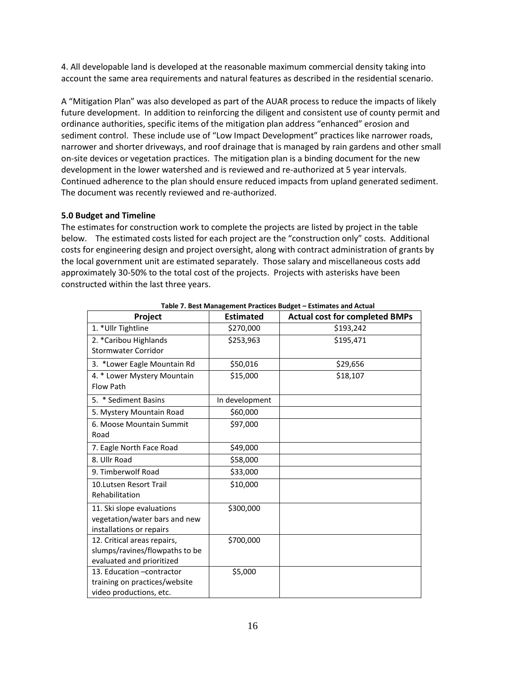4. All developable land is developed at the reasonable maximum commercial density taking into account the same area requirements and natural features as described in the residential scenario.

A "Mitigation Plan" was also developed as part of the AUAR process to reduce the impacts of likely future development. In addition to reinforcing the diligent and consistent use of county permit and ordinance authorities, specific items of the mitigation plan address "enhanced" erosion and sediment control. These include use of "Low Impact Development" practices like narrower roads, narrower and shorter driveways, and roof drainage that is managed by rain gardens and other small on-site devices or vegetation practices. The mitigation plan is a binding document for the new development in the lower watershed and is reviewed and re-authorized at 5 year intervals. Continued adherence to the plan should ensure reduced impacts from upland generated sediment. The document was recently reviewed and re-authorized.

# **5.0 Budget and Timeline**

The estimates for construction work to complete the projects are listed by project in the table below. The estimated costs listed for each project are the "construction only" costs. Additional costs for engineering design and project oversight, along with contract administration of grants by the local government unit are estimated separately. Those salary and miscellaneous costs add approximately 30-50% to the total cost of the projects. Projects with asterisks have been constructed within the last three years.

| Project                                                     | <b>Estimated</b> | <b>Actual cost for completed BMPs</b> |
|-------------------------------------------------------------|------------------|---------------------------------------|
| 1. * Ullr Tightline                                         | \$270,000        | \$193,242                             |
| 2. *Caribou Highlands                                       | \$253,963        | \$195,471                             |
| Stormwater Corridor                                         |                  |                                       |
| 3. *Lower Eagle Mountain Rd                                 | \$50,016         | \$29,656                              |
| 4. * Lower Mystery Mountain                                 | \$15,000         | \$18,107                              |
| Flow Path                                                   |                  |                                       |
| 5. * Sediment Basins                                        | In development   |                                       |
| 5. Mystery Mountain Road                                    | \$60,000         |                                       |
| 6. Moose Mountain Summit                                    | \$97,000         |                                       |
| Road                                                        |                  |                                       |
| 7. Eagle North Face Road                                    | \$49,000         |                                       |
| 8. Ullr Road                                                | \$58,000         |                                       |
| 9. Timberwolf Road                                          | \$33,000         |                                       |
| 10. Lutsen Resort Trail                                     | \$10,000         |                                       |
| Rehabilitation                                              |                  |                                       |
| 11. Ski slope evaluations                                   | \$300,000        |                                       |
| vegetation/water bars and new                               |                  |                                       |
| installations or repairs                                    |                  |                                       |
| 12. Critical areas repairs,                                 | \$700,000        |                                       |
| slumps/ravines/flowpaths to be<br>evaluated and prioritized |                  |                                       |
| 13. Education - contractor                                  | \$5,000          |                                       |
| training on practices/website                               |                  |                                       |
| video productions, etc.                                     |                  |                                       |
|                                                             |                  |                                       |

**Table 7. Best Management Practices Budget – Estimates and Actual**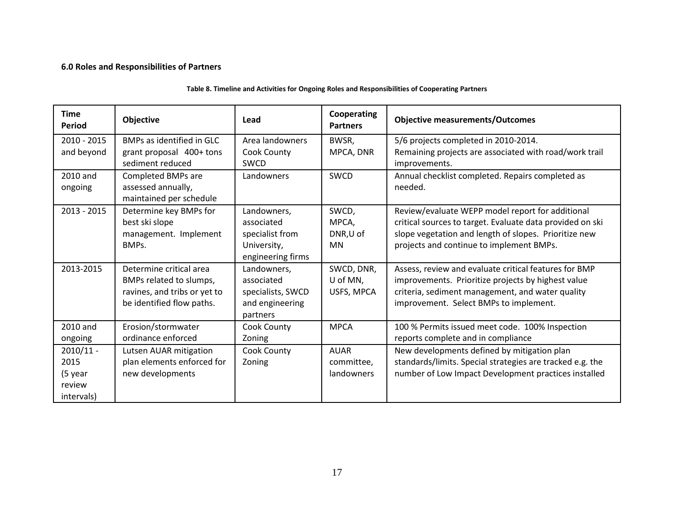# **6.0 Roles and Responsibilities of Partners**

| <b>Time</b><br><b>Period</b>                           | <b>Objective</b>                                                                                                | Lead                                                                             | Cooperating<br><b>Partners</b>          | <b>Objective measurements/Outcomes</b>                                                                                                                                                                             |
|--------------------------------------------------------|-----------------------------------------------------------------------------------------------------------------|----------------------------------------------------------------------------------|-----------------------------------------|--------------------------------------------------------------------------------------------------------------------------------------------------------------------------------------------------------------------|
| $2010 - 2015$<br>and beyond                            | BMPs as identified in GLC<br>grant proposal 400+ tons<br>sediment reduced                                       | Area landowners<br>Cook County<br>SWCD                                           | BWSR,<br>MPCA, DNR                      | 5/6 projects completed in 2010-2014.<br>Remaining projects are associated with road/work trail<br>improvements.                                                                                                    |
| 2010 and<br>ongoing                                    | Completed BMPs are<br>assessed annually,<br>maintained per schedule                                             | Landowners                                                                       | <b>SWCD</b>                             | Annual checklist completed. Repairs completed as<br>needed.                                                                                                                                                        |
| $2013 - 2015$                                          | Determine key BMPs for<br>best ski slope<br>management. Implement<br>BMP <sub>S</sub> .                         | Landowners,<br>associated<br>specialist from<br>University,<br>engineering firms | SWCD,<br>MPCA,<br>DNR,U of<br><b>MN</b> | Review/evaluate WEPP model report for additional<br>critical sources to target. Evaluate data provided on ski<br>slope vegetation and length of slopes. Prioritize new<br>projects and continue to implement BMPs. |
| 2013-2015                                              | Determine critical area<br>BMPs related to slumps,<br>ravines, and tribs or yet to<br>be identified flow paths. | Landowners,<br>associated<br>specialists, SWCD<br>and engineering<br>partners    | SWCD, DNR,<br>U of MN,<br>USFS, MPCA    | Assess, review and evaluate critical features for BMP<br>improvements. Prioritize projects by highest value<br>criteria, sediment management, and water quality<br>improvement. Select BMPs to implement.          |
| 2010 and<br>ongoing                                    | Erosion/stormwater<br>ordinance enforced                                                                        | Cook County<br>Zoning                                                            | <b>MPCA</b>                             | 100 % Permits issued meet code. 100% Inspection<br>reports complete and in compliance                                                                                                                              |
| $2010/11 -$<br>2015<br>(5 year<br>review<br>intervals) | Lutsen AUAR mitigation<br>plan elements enforced for<br>new developments                                        | Cook County<br>Zoning                                                            | <b>AUAR</b><br>committee,<br>landowners | New developments defined by mitigation plan<br>standards/limits. Special strategies are tracked e.g. the<br>number of Low Impact Development practices installed                                                   |

### **Table 8. Timeline and Activities for Ongoing Roles and Responsibilities of Cooperating Partners**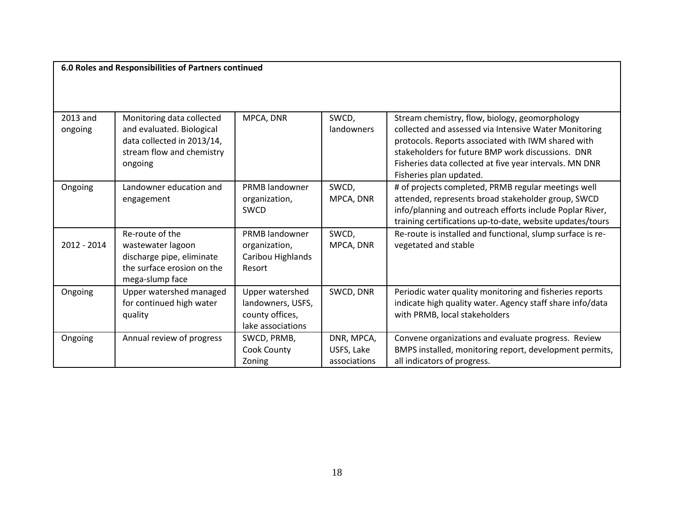**6.0 Roles and Responsibilities of Partners continued**

| 2013 and<br>ongoing | Monitoring data collected<br>and evaluated. Biological<br>data collected in 2013/14,<br>stream flow and chemistry<br>ongoing | MPCA, DNR                                                                    | SWCD,<br>landowners                      | Stream chemistry, flow, biology, geomorphology<br>collected and assessed via Intensive Water Monitoring<br>protocols. Reports associated with IWM shared with<br>stakeholders for future BMP work discussions. DNR<br>Fisheries data collected at five year intervals. MN DNR<br>Fisheries plan updated. |
|---------------------|------------------------------------------------------------------------------------------------------------------------------|------------------------------------------------------------------------------|------------------------------------------|----------------------------------------------------------------------------------------------------------------------------------------------------------------------------------------------------------------------------------------------------------------------------------------------------------|
| Ongoing             | Landowner education and<br>engagement                                                                                        | PRMB landowner<br>organization,<br>SWCD                                      | SWCD,<br>MPCA, DNR                       | # of projects completed, PRMB regular meetings well<br>attended, represents broad stakeholder group, SWCD<br>info/planning and outreach efforts include Poplar River,<br>training certifications up-to-date, website updates/tours                                                                       |
| 2012 - 2014         | Re-route of the<br>wastewater lagoon<br>discharge pipe, eliminate<br>the surface erosion on the<br>mega-slump face           | PRMB landowner<br>organization,<br>Caribou Highlands<br>Resort               | SWCD,<br>MPCA, DNR                       | Re-route is installed and functional, slump surface is re-<br>vegetated and stable                                                                                                                                                                                                                       |
| Ongoing             | Upper watershed managed<br>for continued high water<br>quality                                                               | Upper watershed<br>landowners, USFS,<br>county offices,<br>lake associations | SWCD, DNR                                | Periodic water quality monitoring and fisheries reports<br>indicate high quality water. Agency staff share info/data<br>with PRMB, local stakeholders                                                                                                                                                    |
| Ongoing             | Annual review of progress                                                                                                    | SWCD, PRMB,<br>Cook County<br>Zoning                                         | DNR, MPCA,<br>USFS, Lake<br>associations | Convene organizations and evaluate progress. Review<br>BMPS installed, monitoring report, development permits,<br>all indicators of progress.                                                                                                                                                            |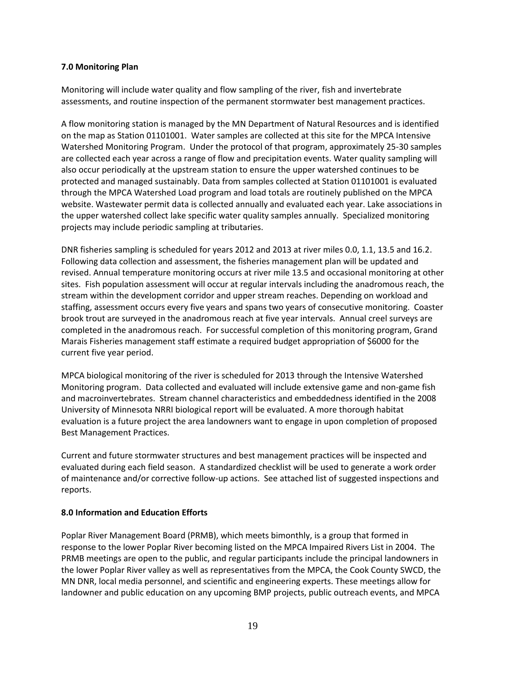# **7.0 Monitoring Plan**

Monitoring will include water quality and flow sampling of the river, fish and invertebrate assessments, and routine inspection of the permanent stormwater best management practices.

A flow monitoring station is managed by the MN Department of Natural Resources and is identified on the map as Station 01101001. Water samples are collected at this site for the MPCA Intensive Watershed Monitoring Program. Under the protocol of that program, approximately 25-30 samples are collected each year across a range of flow and precipitation events. Water quality sampling will also occur periodically at the upstream station to ensure the upper watershed continues to be protected and managed sustainably. Data from samples collected at Station 01101001 is evaluated through the MPCA Watershed Load program and load totals are routinely published on the MPCA website. Wastewater permit data is collected annually and evaluated each year. Lake associations in the upper watershed collect lake specific water quality samples annually. Specialized monitoring projects may include periodic sampling at tributaries.

DNR fisheries sampling is scheduled for years 2012 and 2013 at river miles 0.0, 1.1, 13.5 and 16.2. Following data collection and assessment, the fisheries management plan will be updated and revised. Annual temperature monitoring occurs at river mile 13.5 and occasional monitoring at other sites. Fish population assessment will occur at regular intervals including the anadromous reach, the stream within the development corridor and upper stream reaches. Depending on workload and staffing, assessment occurs every five years and spans two years of consecutive monitoring. Coaster brook trout are surveyed in the anadromous reach at five year intervals. Annual creel surveys are completed in the anadromous reach. For successful completion of this monitoring program, Grand Marais Fisheries management staff estimate a required budget appropriation of \$6000 for the current five year period.

MPCA biological monitoring of the river is scheduled for 2013 through the Intensive Watershed Monitoring program. Data collected and evaluated will include extensive game and non-game fish and macroinvertebrates. Stream channel characteristics and embeddedness identified in the 2008 University of Minnesota NRRI biological report will be evaluated. A more thorough habitat evaluation is a future project the area landowners want to engage in upon completion of proposed Best Management Practices.

Current and future stormwater structures and best management practices will be inspected and evaluated during each field season. A standardized checklist will be used to generate a work order of maintenance and/or corrective follow-up actions. See attached list of suggested inspections and reports.

# **8.0 Information and Education Efforts**

Poplar River Management Board (PRMB), which meets bimonthly, is a group that formed in response to the lower Poplar River becoming listed on the MPCA Impaired Rivers List in 2004. The PRMB meetings are open to the public, and regular participants include the principal landowners in the lower Poplar River valley as well as representatives from the MPCA, the Cook County SWCD, the MN DNR, local media personnel, and scientific and engineering experts. These meetings allow for landowner and public education on any upcoming BMP projects, public outreach events, and MPCA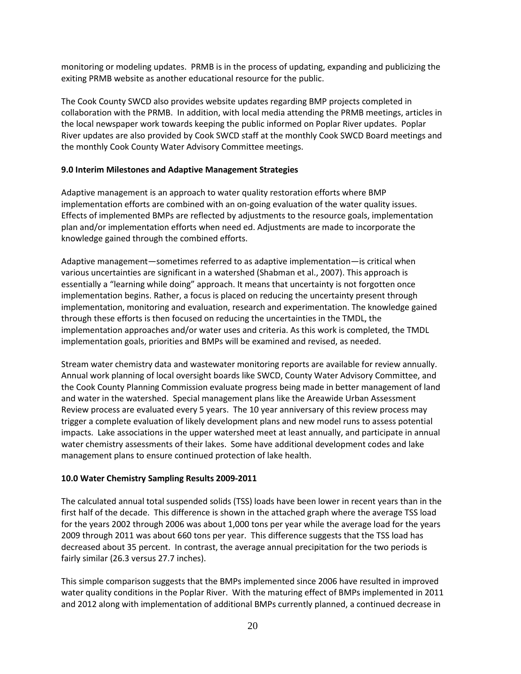monitoring or modeling updates. PRMB is in the process of updating, expanding and publicizing the exiting PRMB website as another educational resource for the public.

The Cook County SWCD also provides website updates regarding BMP projects completed in collaboration with the PRMB. In addition, with local media attending the PRMB meetings, articles in the local newspaper work towards keeping the public informed on Poplar River updates. Poplar River updates are also provided by Cook SWCD staff at the monthly Cook SWCD Board meetings and the monthly Cook County Water Advisory Committee meetings.

# **9.0 Interim Milestones and Adaptive Management Strategies**

Adaptive management is an approach to water quality restoration efforts where BMP implementation efforts are combined with an on-going evaluation of the water quality issues. Effects of implemented BMPs are reflected by adjustments to the resource goals, implementation plan and/or implementation efforts when need ed. Adjustments are made to incorporate the knowledge gained through the combined efforts.

Adaptive management—sometimes referred to as adaptive implementation—is critical when various uncertainties are significant in a watershed (Shabman et al., 2007). This approach is essentially a "learning while doing" approach. It means that uncertainty is not forgotten once implementation begins. Rather, a focus is placed on reducing the uncertainty present through implementation, monitoring and evaluation, research and experimentation. The knowledge gained through these efforts is then focused on reducing the uncertainties in the TMDL, the implementation approaches and/or water uses and criteria. As this work is completed, the TMDL implementation goals, priorities and BMPs will be examined and revised, as needed.

Stream water chemistry data and wastewater monitoring reports are available for review annually. Annual work planning of local oversight boards like SWCD, County Water Advisory Committee, and the Cook County Planning Commission evaluate progress being made in better management of land and water in the watershed. Special management plans like the Areawide Urban Assessment Review process are evaluated every 5 years. The 10 year anniversary of this review process may trigger a complete evaluation of likely development plans and new model runs to assess potential impacts. Lake associations in the upper watershed meet at least annually, and participate in annual water chemistry assessments of their lakes. Some have additional development codes and lake management plans to ensure continued protection of lake health.

# **10.0 Water Chemistry Sampling Results 2009-2011**

The calculated annual total suspended solids (TSS) loads have been lower in recent years than in the first half of the decade. This difference is shown in the attached graph where the average TSS load for the years 2002 through 2006 was about 1,000 tons per year while the average load for the years 2009 through 2011 was about 660 tons per year. This difference suggests that the TSS load has decreased about 35 percent. In contrast, the average annual precipitation for the two periods is fairly similar (26.3 versus 27.7 inches).

This simple comparison suggests that the BMPs implemented since 2006 have resulted in improved water quality conditions in the Poplar River. With the maturing effect of BMPs implemented in 2011 and 2012 along with implementation of additional BMPs currently planned, a continued decrease in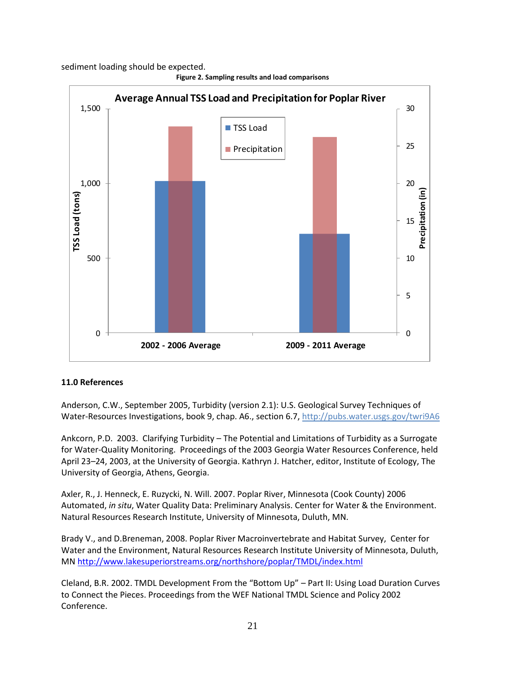sediment loading should be expected.



**Figure 2. Sampling results and load comparisons** 

#### **11.0 References**

Anderson, C.W., September 2005, Turbidity (version 2.1): U.S. Geological Survey Techniques of Water-Resources Investigations, book 9, chap. A6., section 6.7, [http://pubs.water.usgs.gov/twri9A6](http://pubs.water.usgs.gov/twri9A6/)

Ankcorn, P.D. 2003. Clarifying Turbidity – The Potential and Limitations of Turbidity as a Surrogate for Water-Quality Monitoring. Proceedings of the 2003 Georgia Water Resources Conference, held April 23–24, 2003, at the University of Georgia. Kathryn J. Hatcher, editor, Institute of Ecology, The University of Georgia, Athens, Georgia.

Axler, R., J. Henneck, E. Ruzycki, N. Will. 2007. Poplar River, Minnesota (Cook County) 2006 Automated, *in situ*, Water Quality Data: Preliminary Analysis. Center for Water & the Environment. Natural Resources Research Institute, University of Minnesota, Duluth, MN.

Brady V., and D.Breneman, 2008. Poplar River Macroinvertebrate and Habitat Survey, Center for Water and the Environment, Natural Resources Research Institute University of Minnesota, Duluth, MN<http://www.lakesuperiorstreams.org/northshore/poplar/TMDL/index.html>

Cleland, B.R. 2002. TMDL Development From the "Bottom Up" – Part II: Using Load Duration Curves to Connect the Pieces. Proceedings from the WEF National TMDL Science and Policy 2002 Conference.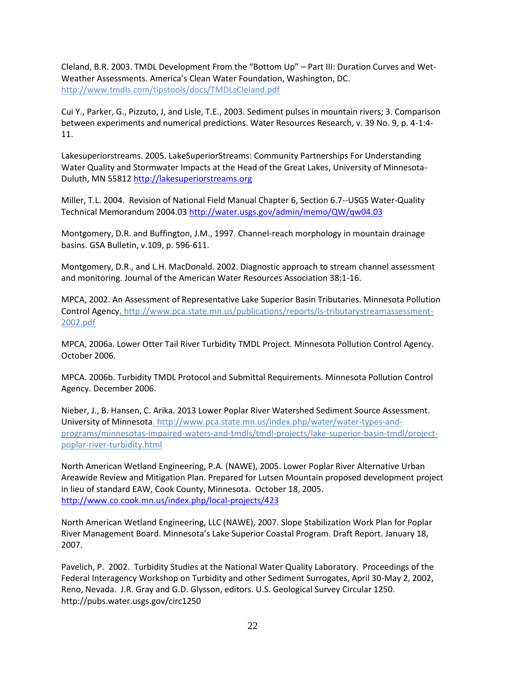Cleland, B.R. 2003. TMDL Development From the "Bottom Up" – Part III: Duration Curves and Wet-Weather Assessments. America's Clean Water Foundation, Washington, DC. http://www.tmdls.com/tipstools/docs/TMDLsCleland.pdf

Cui Y., Parker, G., Pizzuto, J, and Lisle, T.E., 2003. Sediment pulses in mountain rivers; 3. Comparison between experiments and numerical predictions. Water Resources Research, v. 39 No. 9, p. 4-1:4- 11.

Lakesuperiorstreams. 2005. LakeSuperiorStreams: Community Partnerships For Understanding Water Quality and Stormwater Impacts at the Head of the Great Lakes, University of Minnesota-Duluth, MN 55812 [http://lakesuperiorstreams.org](http://lakesuperiorstreams.org/)

Miller, T.L. 2004. Revision of National Field Manual Chapter 6, Section 6.7--USGS Water-Quality Technical Memorandum 2004.03<http://water.usgs.gov/admin/memo/QW/qw04.03>

Montgomery, D.R. and Buffington, J.M., 1997. Channel-reach morphology in mountain drainage basins. GSA Bulletin, v.109, p. 596-611.

Montgomery, D.R., and L.H. MacDonald. 2002. Diagnostic approach to stream channel assessment and monitoring. Journal of the American Water Resources Association 38:1-16.

MPCA, 2002. An Assessment of Representative Lake Superior Basin Tributaries. Minnesota Pollution Control Agency**.** http://www.pca.state.mn.us/publications/reports/ls-tributarystreamassessment-2002.pdf

MPCA, 2006a. Lower Otter Tail River Turbidity TMDL Project. Minnesota Pollution Control Agency. October 2006.

MPCA. 2006b. Turbidity TMDL Protocol and Submittal Requirements. Minnesota Pollution Control Agency. December 2006.

Nieber, J., B. Hansen, C. Arika. 2013 Lower Poplar River Watershed Sediment Source Assessment. University of Minnesota. http://www.pca.state.mn.us/index.php/water/water-types-andprograms/minnesotas-impaired-waters-and-tmdls/tmdl-projects/lake-superior-basin-tmdl/projectpoplar-river-turbidity.html

North American Wetland Engineering, P.A. (NAWE), 2005. Lower Poplar River Alternative Urban Areawide Review and Mitigation Plan. Prepared for Lutsen Mountain proposed development project in lieu of standard EAW, Cook County, Minnesota. October 18, 2005. <http://www.co.cook.mn.us/index.php/local-projects/423>

North American Wetland Engineering, LLC (NAWE), 2007. Slope Stabilization Work Plan for Poplar River Management Board. Minnesota's Lake Superior Coastal Program. Draft Report. January 18, 2007.

Pavelich, P. 2002. Turbidity Studies at the National Water Quality Laboratory. Proceedings of the Federal Interagency Workshop on Turbidity and other Sediment Surrogates, April 30-May 2, 2002, Reno, Nevada. J.R. Gray and G.D. Glysson, editors. U.S. Geological Survey Circular 1250. <http://pubs.water.usgs.gov/circ1250>